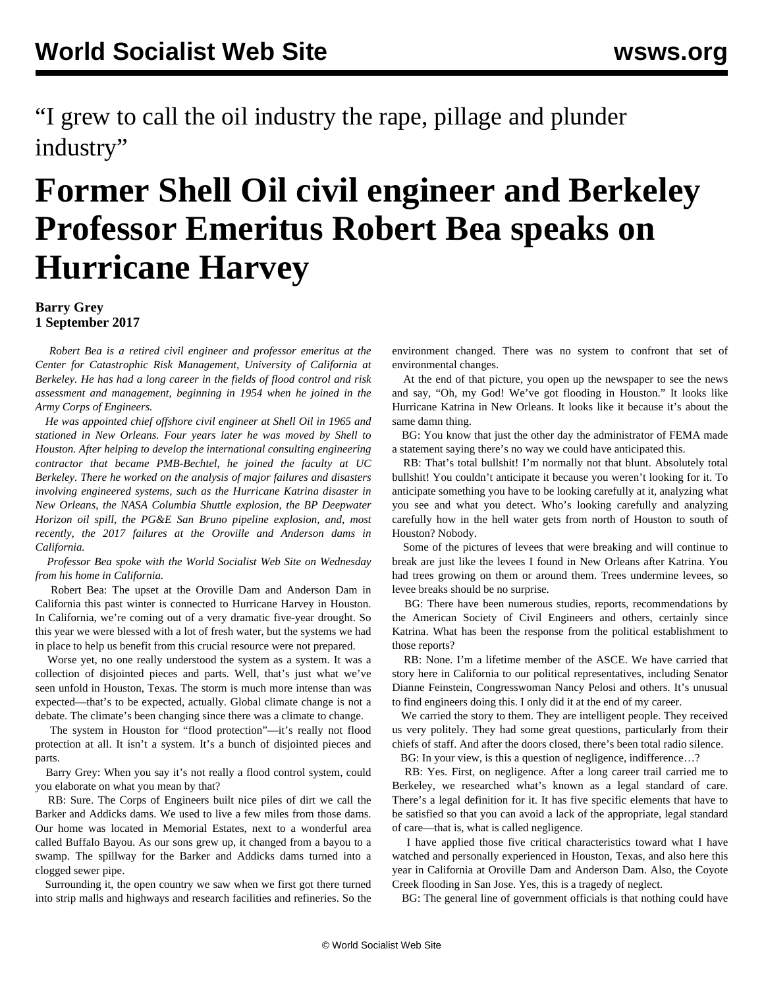"I grew to call the oil industry the rape, pillage and plunder industry"

## **Former Shell Oil civil engineer and Berkeley Professor Emeritus Robert Bea speaks on Hurricane Harvey**

## **Barry Grey 1 September 2017**

 *Robert Bea is a retired civil engineer and professor emeritus at the Center for Catastrophic Risk Management, University of California at Berkeley. He has had a long career in the fields of flood control and risk assessment and management, beginning in 1954 when he joined in the Army Corps of Engineers.*

 *He was appointed chief offshore civil engineer at Shell Oil in 1965 and stationed in New Orleans. Four years later he was moved by Shell to Houston. After helping to develop the international consulting engineering contractor that became PMB-Bechtel, he joined the faculty at UC Berkeley. There he worked on the analysis of major failures and disasters involving engineered systems, such as the Hurricane Katrina disaster in New Orleans, the NASA Columbia Shuttle explosion, the BP Deepwater Horizon oil spill, the PG&E San Bruno pipeline explosion, and, most recently, the 2017 failures at the Oroville and Anderson dams in California.*

 *Professor Bea spoke with the World Socialist Web Site on Wednesday from his home in California.*

 Robert Bea: The upset at the Oroville Dam and Anderson Dam in California this past winter is connected to Hurricane Harvey in Houston. In California, we're coming out of a very dramatic five-year drought. So this year we were blessed with a lot of fresh water, but the systems we had in place to help us benefit from this crucial resource were not prepared.

 Worse yet, no one really understood the system as a system. It was a collection of disjointed pieces and parts. Well, that's just what we've seen unfold in Houston, Texas. The storm is much more intense than was expected—that's to be expected, actually. Global climate change is not a debate. The climate's been changing since there was a climate to change.

 The system in Houston for "flood protection"—it's really not flood protection at all. It isn't a system. It's a bunch of disjointed pieces and parts.

 Barry Grey: When you say it's not really a flood control system, could you elaborate on what you mean by that?

 RB: Sure. The Corps of Engineers built nice piles of dirt we call the Barker and Addicks dams. We used to live a few miles from those dams. Our home was located in Memorial Estates, next to a wonderful area called Buffalo Bayou. As our sons grew up, it changed from a bayou to a swamp. The spillway for the Barker and Addicks dams turned into a clogged sewer pipe.

 Surrounding it, the open country we saw when we first got there turned into strip malls and highways and research facilities and refineries. So the environment changed. There was no system to confront that set of environmental changes.

 At the end of that picture, you open up the newspaper to see the news and say, "Oh, my God! We've got flooding in Houston." It looks like Hurricane Katrina in New Orleans. It looks like it because it's about the same damn thing.

 BG: You know that just the other day the administrator of FEMA made a statement saying there's no way we could have anticipated this.

 RB: That's total bullshit! I'm normally not that blunt. Absolutely total bullshit! You couldn't anticipate it because you weren't looking for it. To anticipate something you have to be looking carefully at it, analyzing what you see and what you detect. Who's looking carefully and analyzing carefully how in the hell water gets from north of Houston to south of Houston? Nobody.

 Some of the pictures of levees that were breaking and will continue to break are just like the levees I found in New Orleans after Katrina. You had trees growing on them or around them. Trees undermine levees, so levee breaks should be no surprise.

 BG: There have been numerous studies, reports, recommendations by the American Society of Civil Engineers and others, certainly since Katrina. What has been the response from the political establishment to those reports?

 RB: None. I'm a lifetime member of the ASCE. We have carried that story here in California to our political representatives, including Senator Dianne Feinstein, Congresswoman Nancy Pelosi and others. It's unusual to find engineers doing this. I only did it at the end of my career.

 We carried the story to them. They are intelligent people. They received us very politely. They had some great questions, particularly from their chiefs of staff. And after the doors closed, there's been total radio silence.

BG: In your view, is this a question of negligence, indifference...?

 RB: Yes. First, on negligence. After a long career trail carried me to Berkeley, we researched what's known as a legal standard of care. There's a legal definition for it. It has five specific elements that have to be satisfied so that you can avoid a lack of the appropriate, legal standard of care—that is, what is called negligence.

 I have applied those five critical characteristics toward what I have watched and personally experienced in Houston, Texas, and also here this year in California at Oroville Dam and Anderson Dam. Also, the Coyote Creek flooding in San Jose. Yes, this is a tragedy of neglect.

BG: The general line of government officials is that nothing could have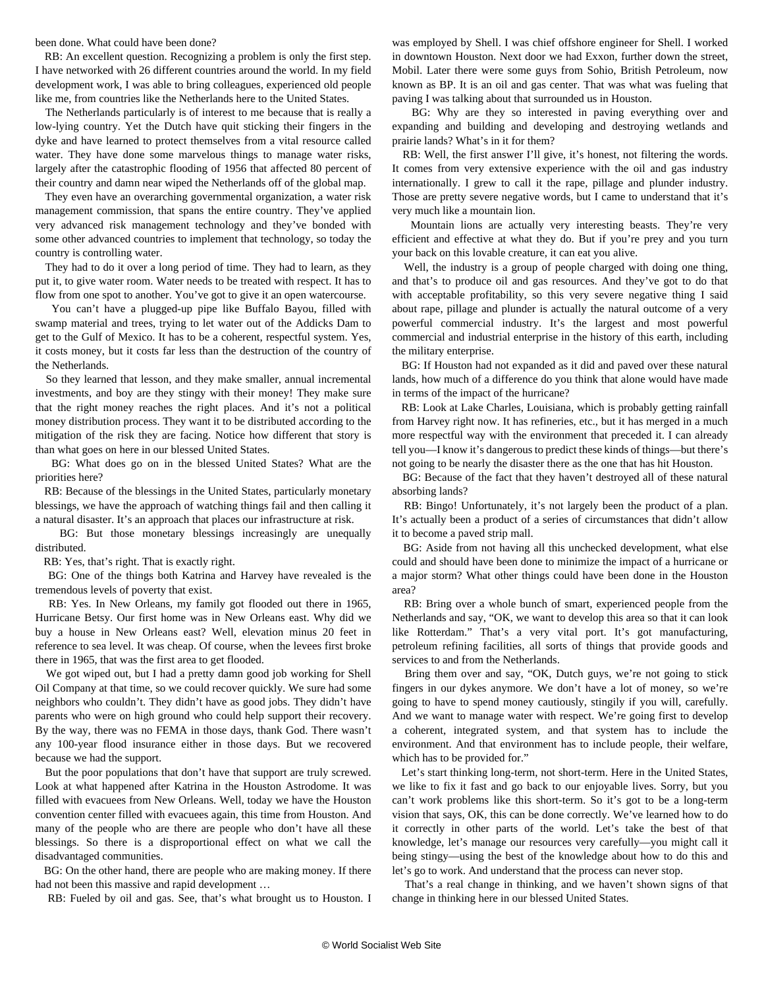been done. What could have been done?

 RB: An excellent question. Recognizing a problem is only the first step. I have networked with 26 different countries around the world. In my field development work, I was able to bring colleagues, experienced old people like me, from countries like the Netherlands here to the United States.

 The Netherlands particularly is of interest to me because that is really a low-lying country. Yet the Dutch have quit sticking their fingers in the dyke and have learned to protect themselves from a vital resource called water. They have done some marvelous things to manage water risks, largely after the catastrophic flooding of 1956 that affected 80 percent of their country and damn near wiped the Netherlands off of the global map.

 They even have an overarching governmental organization, a water risk management commission, that spans the entire country. They've applied very advanced risk management technology and they've bonded with some other advanced countries to implement that technology, so today the country is controlling water.

 They had to do it over a long period of time. They had to learn, as they put it, to give water room. Water needs to be treated with respect. It has to flow from one spot to another. You've got to give it an open watercourse.

 You can't have a plugged-up pipe like Buffalo Bayou, filled with swamp material and trees, trying to let water out of the Addicks Dam to get to the Gulf of Mexico. It has to be a coherent, respectful system. Yes, it costs money, but it costs far less than the destruction of the country of the Netherlands.

 So they learned that lesson, and they make smaller, annual incremental investments, and boy are they stingy with their money! They make sure that the right money reaches the right places. And it's not a political money distribution process. They want it to be distributed according to the mitigation of the risk they are facing. Notice how different that story is than what goes on here in our blessed United States.

 BG: What does go on in the blessed United States? What are the priorities here?

 RB: Because of the blessings in the United States, particularly monetary blessings, we have the approach of watching things fail and then calling it a natural disaster. It's an approach that places our infrastructure at risk.

 BG: But those monetary blessings increasingly are unequally distributed.

RB: Yes, that's right. That is exactly right.

 BG: One of the things both Katrina and Harvey have revealed is the tremendous levels of poverty that exist.

 RB: Yes. In New Orleans, my family got flooded out there in 1965, Hurricane Betsy. Our first home was in New Orleans east. Why did we buy a house in New Orleans east? Well, elevation minus 20 feet in reference to sea level. It was cheap. Of course, when the levees first broke there in 1965, that was the first area to get flooded.

 We got wiped out, but I had a pretty damn good job working for Shell Oil Company at that time, so we could recover quickly. We sure had some neighbors who couldn't. They didn't have as good jobs. They didn't have parents who were on high ground who could help support their recovery. By the way, there was no FEMA in those days, thank God. There wasn't any 100-year flood insurance either in those days. But we recovered because we had the support.

 But the poor populations that don't have that support are truly screwed. Look at what happened after Katrina in the Houston Astrodome. It was filled with evacuees from New Orleans. Well, today we have the Houston convention center filled with evacuees again, this time from Houston. And many of the people who are there are people who don't have all these blessings. So there is a disproportional effect on what we call the disadvantaged communities.

 BG: On the other hand, there are people who are making money. If there had not been this massive and rapid development …

RB: Fueled by oil and gas. See, that's what brought us to Houston. I

was employed by Shell. I was chief offshore engineer for Shell. I worked in downtown Houston. Next door we had Exxon, further down the street, Mobil. Later there were some guys from Sohio, British Petroleum, now known as BP. It is an oil and gas center. That was what was fueling that paving I was talking about that surrounded us in Houston.

 BG: Why are they so interested in paving everything over and expanding and building and developing and destroying wetlands and prairie lands? What's in it for them?

 RB: Well, the first answer I'll give, it's honest, not filtering the words. It comes from very extensive experience with the oil and gas industry internationally. I grew to call it the rape, pillage and plunder industry. Those are pretty severe negative words, but I came to understand that it's very much like a mountain lion.

 Mountain lions are actually very interesting beasts. They're very efficient and effective at what they do. But if you're prey and you turn your back on this lovable creature, it can eat you alive.

 Well, the industry is a group of people charged with doing one thing, and that's to produce oil and gas resources. And they've got to do that with acceptable profitability, so this very severe negative thing I said about rape, pillage and plunder is actually the natural outcome of a very powerful commercial industry. It's the largest and most powerful commercial and industrial enterprise in the history of this earth, including the military enterprise.

 BG: If Houston had not expanded as it did and paved over these natural lands, how much of a difference do you think that alone would have made in terms of the impact of the hurricane?

 RB: Look at Lake Charles, Louisiana, which is probably getting rainfall from Harvey right now. It has refineries, etc., but it has merged in a much more respectful way with the environment that preceded it. I can already tell you—I know it's dangerous to predict these kinds of things—but there's not going to be nearly the disaster there as the one that has hit Houston.

 BG: Because of the fact that they haven't destroyed all of these natural absorbing lands?

 RB: Bingo! Unfortunately, it's not largely been the product of a plan. It's actually been a product of a series of circumstances that didn't allow it to become a paved strip mall.

 BG: Aside from not having all this unchecked development, what else could and should have been done to minimize the impact of a hurricane or a major storm? What other things could have been done in the Houston area?

 RB: Bring over a whole bunch of smart, experienced people from the Netherlands and say, "OK, we want to develop this area so that it can look like Rotterdam." That's a very vital port. It's got manufacturing, petroleum refining facilities, all sorts of things that provide goods and services to and from the Netherlands.

 Bring them over and say, "OK, Dutch guys, we're not going to stick fingers in our dykes anymore. We don't have a lot of money, so we're going to have to spend money cautiously, stingily if you will, carefully. And we want to manage water with respect. We're going first to develop a coherent, integrated system, and that system has to include the environment. And that environment has to include people, their welfare, which has to be provided for."

 Let's start thinking long-term, not short-term. Here in the United States, we like to fix it fast and go back to our enjoyable lives. Sorry, but you can't work problems like this short-term. So it's got to be a long-term vision that says, OK, this can be done correctly. We've learned how to do it correctly in other parts of the world. Let's take the best of that knowledge, let's manage our resources very carefully—you might call it being stingy—using the best of the knowledge about how to do this and let's go to work. And understand that the process can never stop.

 That's a real change in thinking, and we haven't shown signs of that change in thinking here in our blessed United States.